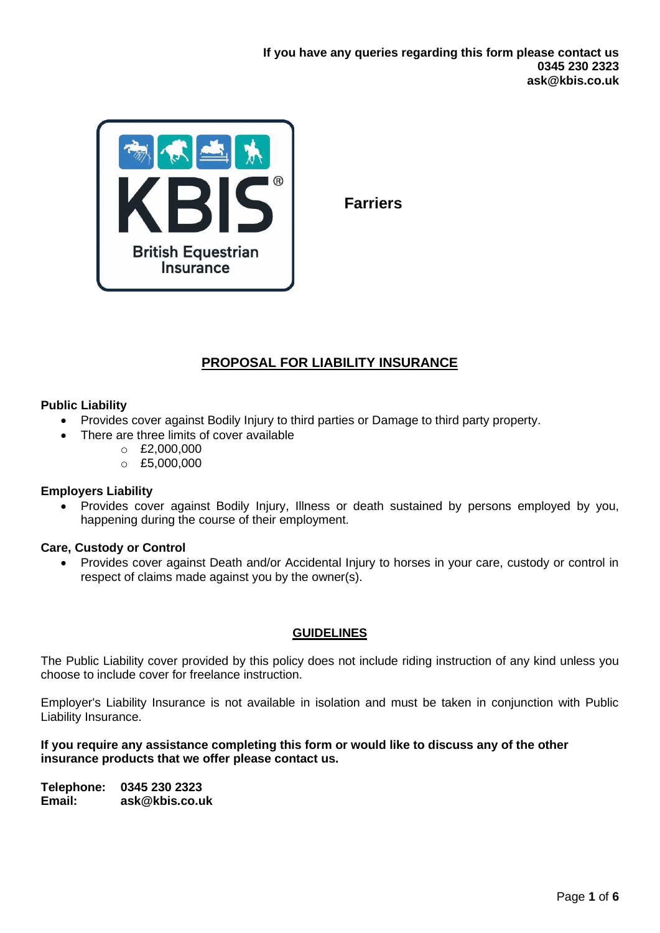

**Farriers**

# **PROPOSAL FOR LIABILITY INSURANCE**

## **Public Liability**

- Provides cover against Bodily Injury to third parties or Damage to third party property.
- There are three limits of cover available
	- $O$  £2,000,000
	- $O$  £5,000,000

#### **Employers Liability**

• Provides cover against Bodily Injury, Illness or death sustained by persons employed by you, happening during the course of their employment.

#### **Care, Custody or Control**

• Provides cover against Death and/or Accidental Injury to horses in your care, custody or control in respect of claims made against you by the owner(s).

#### **GUIDELINES**

The Public Liability cover provided by this policy does not include riding instruction of any kind unless you choose to include cover for freelance instruction.

Employer's Liability Insurance is not available in isolation and must be taken in conjunction with Public Liability Insurance.

## **If you require any assistance completing this form or would like to discuss any of the other insurance products that we offer please contact us.**

**Telephone: 0345 230 2323 Email: ask@kbis.co.uk**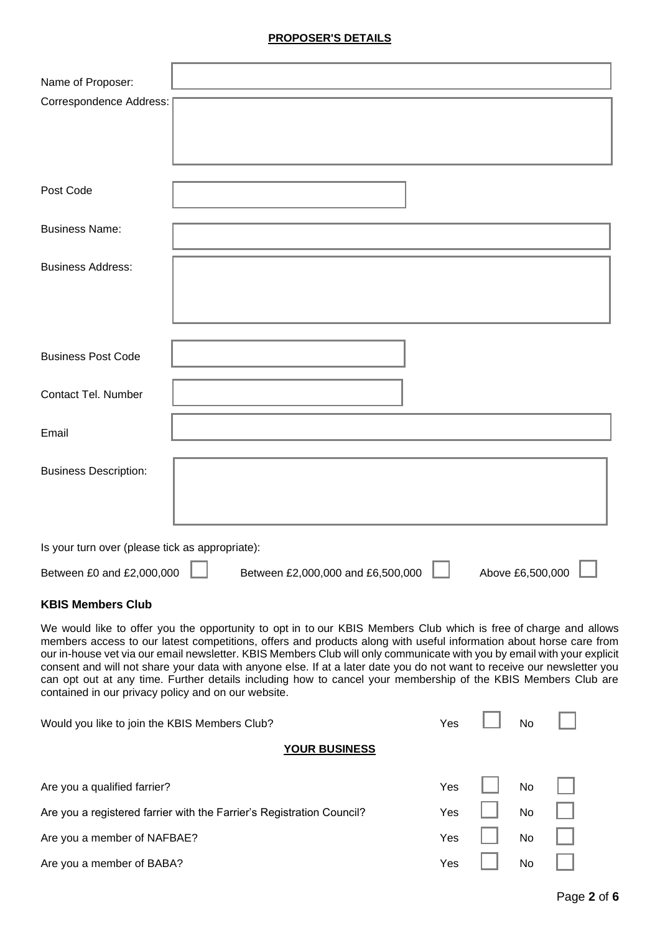#### **PROPOSER'S DETAILS**

| Name of Proposer:                               |                                                                                                                 |
|-------------------------------------------------|-----------------------------------------------------------------------------------------------------------------|
| Correspondence Address:                         |                                                                                                                 |
|                                                 |                                                                                                                 |
|                                                 |                                                                                                                 |
|                                                 |                                                                                                                 |
|                                                 |                                                                                                                 |
| Post Code                                       |                                                                                                                 |
|                                                 |                                                                                                                 |
| <b>Business Name:</b>                           |                                                                                                                 |
|                                                 |                                                                                                                 |
| <b>Business Address:</b>                        |                                                                                                                 |
|                                                 |                                                                                                                 |
|                                                 |                                                                                                                 |
|                                                 |                                                                                                                 |
|                                                 |                                                                                                                 |
| <b>Business Post Code</b>                       |                                                                                                                 |
|                                                 |                                                                                                                 |
| Contact Tel. Number                             |                                                                                                                 |
|                                                 |                                                                                                                 |
| Email                                           |                                                                                                                 |
|                                                 |                                                                                                                 |
| <b>Business Description:</b>                    |                                                                                                                 |
|                                                 |                                                                                                                 |
|                                                 |                                                                                                                 |
|                                                 |                                                                                                                 |
| Is your turn over (please tick as appropriate): |                                                                                                                 |
|                                                 |                                                                                                                 |
| Between £0 and £2,000,000                       | Between £2,000,000 and £6,500,000<br>Above £6,500,000                                                           |
| <b>KBIS Members Club</b>                        |                                                                                                                 |
|                                                 | We would like to offer you the opportunity to ont in to our KRIS Members Club which is free of charge and allow |

We would like to offer you the opportunity to opt in to our KBIS Members Club which is free of charge and allows members access to our latest competitions, offers and products along with useful information about horse care from our in-house vet via our email newsletter. KBIS Members Club will only communicate with you by email with your explicit consent and will not share your data with anyone else. If at a later date you do not want to receive our newsletter you can opt out at any time. Further details including how to cancel your membership of the KBIS Members Club are contained in our privacy policy and on our website.

| Would you like to join the KBIS Members Club?                         |     | No        |  |
|-----------------------------------------------------------------------|-----|-----------|--|
| <b>YOUR BUSINESS</b>                                                  |     |           |  |
| Are you a qualified farrier?                                          | Yes | <b>No</b> |  |
| Are you a registered farrier with the Farrier's Registration Council? | Yes | No        |  |
| Are you a member of NAFBAE?                                           | Yes | <b>No</b> |  |
| Are you a member of BABA?                                             | Yes | No        |  |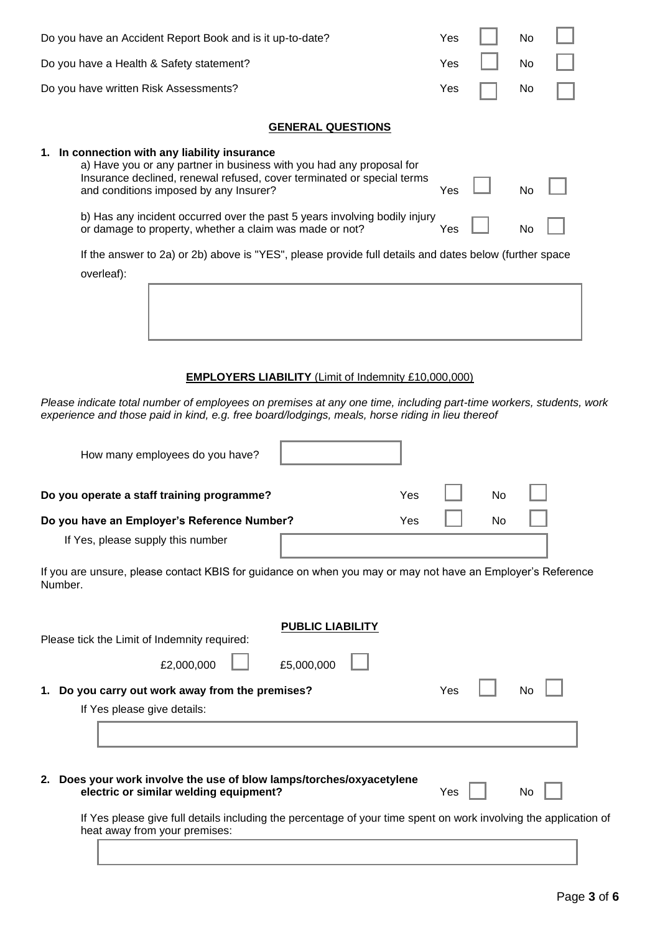| Do you have an Accident Report Book and is it up-to-date?                                                                                                                                                                                 | Yes |    | No        |  |
|-------------------------------------------------------------------------------------------------------------------------------------------------------------------------------------------------------------------------------------------|-----|----|-----------|--|
| Do you have a Health & Safety statement?                                                                                                                                                                                                  | Yes |    | No        |  |
| Do you have written Risk Assessments?                                                                                                                                                                                                     | Yes |    | No        |  |
| <b>GENERAL QUESTIONS</b>                                                                                                                                                                                                                  |     |    |           |  |
|                                                                                                                                                                                                                                           |     |    |           |  |
| 1. In connection with any liability insurance<br>a) Have you or any partner in business with you had any proposal for<br>Insurance declined, renewal refused, cover terminated or special terms<br>and conditions imposed by any Insurer? | Yes |    | No        |  |
| b) Has any incident occurred over the past 5 years involving bodily injury<br>or damage to property, whether a claim was made or not?                                                                                                     | Yes |    | No        |  |
| If the answer to 2a) or 2b) above is "YES", please provide full details and dates below (further space                                                                                                                                    |     |    |           |  |
| overleaf):                                                                                                                                                                                                                                |     |    |           |  |
|                                                                                                                                                                                                                                           |     |    |           |  |
|                                                                                                                                                                                                                                           |     |    |           |  |
| <b>EMPLOYERS LIABILITY (Limit of Indemnity £10,000,000)</b>                                                                                                                                                                               |     |    |           |  |
| Please indicate total number of employees on premises at any one time, including part-time workers, students, work<br>experience and those paid in kind, e.g. free board/lodgings, meals, horse riding in lieu thereof                    |     |    |           |  |
| How many employees do you have?                                                                                                                                                                                                           |     |    |           |  |
| Do you operate a staff training programme?<br>Yes                                                                                                                                                                                         |     | No |           |  |
| Do you have an Employer's Reference Number?<br>Yes                                                                                                                                                                                        |     | No |           |  |
| If Yes, please supply this number                                                                                                                                                                                                         |     |    |           |  |
| If you are unsure, please contact KBIS for guidance on when you may or may not have an Employer's Reference<br>Number.                                                                                                                    |     |    |           |  |
| <b>PUBLIC LIABILITY</b>                                                                                                                                                                                                                   |     |    |           |  |
| Please tick the Limit of Indemnity required:                                                                                                                                                                                              |     |    |           |  |
| £5,000,000<br>£2,000,000                                                                                                                                                                                                                  |     |    |           |  |
| Do you carry out work away from the premises?<br>1.                                                                                                                                                                                       | Yes |    | No        |  |
| If Yes please give details:                                                                                                                                                                                                               |     |    |           |  |
|                                                                                                                                                                                                                                           |     |    |           |  |
|                                                                                                                                                                                                                                           |     |    |           |  |
| 2. Does your work involve the use of blow lamps/torches/oxyacetylene<br>electric or similar welding equipment?                                                                                                                            | Yes |    | <b>No</b> |  |

If Yes please give full details including the percentage of your time spent on work involving the application of heat away from your premises: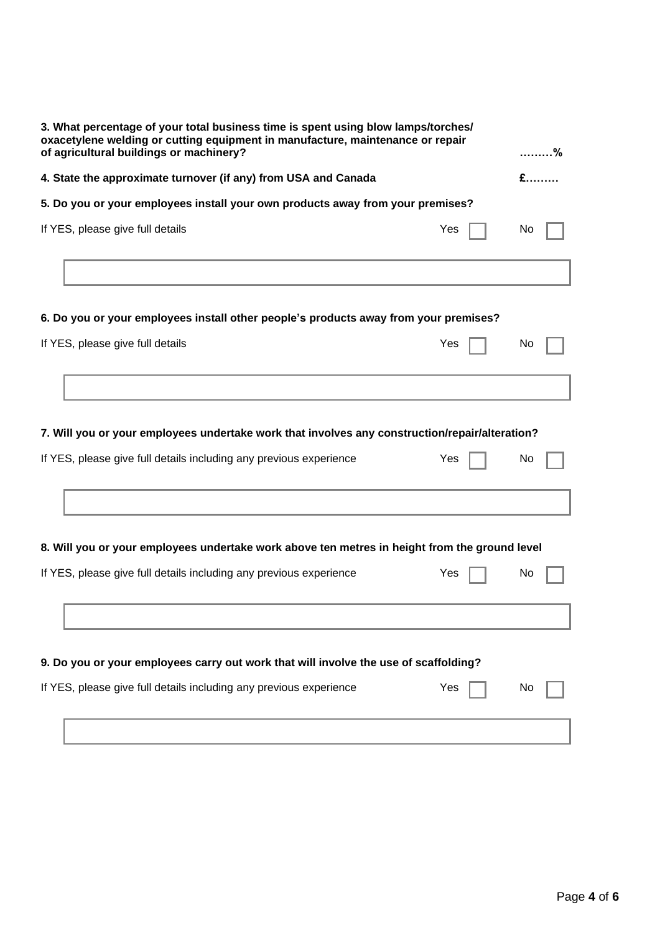| 3. What percentage of your total business time is spent using blow lamps/torches/<br>oxacetylene welding or cutting equipment in manufacture, maintenance or repair<br>of agricultural buildings or machinery? |    |  |  |  |  |
|----------------------------------------------------------------------------------------------------------------------------------------------------------------------------------------------------------------|----|--|--|--|--|
| 4. State the approximate turnover (if any) from USA and Canada                                                                                                                                                 |    |  |  |  |  |
| 5. Do you or your employees install your own products away from your premises?                                                                                                                                 |    |  |  |  |  |
| If YES, please give full details<br>Yes                                                                                                                                                                        | No |  |  |  |  |
|                                                                                                                                                                                                                |    |  |  |  |  |
| 6. Do you or your employees install other people's products away from your premises?                                                                                                                           |    |  |  |  |  |
| If YES, please give full details<br>Yes                                                                                                                                                                        | No |  |  |  |  |
|                                                                                                                                                                                                                |    |  |  |  |  |
| 7. Will you or your employees undertake work that involves any construction/repair/alteration?                                                                                                                 |    |  |  |  |  |
| If YES, please give full details including any previous experience<br>Yes                                                                                                                                      | No |  |  |  |  |
|                                                                                                                                                                                                                |    |  |  |  |  |
| 8. Will you or your employees undertake work above ten metres in height from the ground level                                                                                                                  |    |  |  |  |  |
| If YES, please give full details including any previous experience<br>Yes                                                                                                                                      | No |  |  |  |  |
|                                                                                                                                                                                                                |    |  |  |  |  |
| 9. Do you or your employees carry out work that will involve the use of scaffolding?                                                                                                                           |    |  |  |  |  |
| If YES, please give full details including any previous experience<br>Yes                                                                                                                                      | Νo |  |  |  |  |
|                                                                                                                                                                                                                |    |  |  |  |  |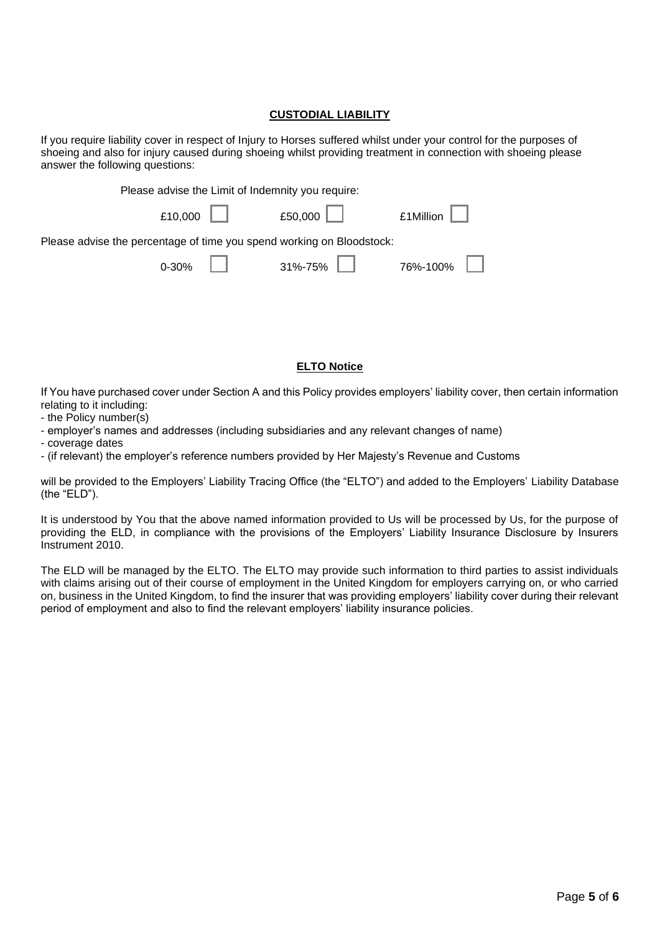## **CUSTODIAL LIABILITY**

If you require liability cover in respect of Injury to Horses suffered whilst under your control for the purposes of shoeing and also for injury caused during shoeing whilst providing treatment in connection with shoeing please answer the following questions:

| Please advise the Limit of Indemnity you require:                     |                                   |                           |                        |  |  |
|-----------------------------------------------------------------------|-----------------------------------|---------------------------|------------------------|--|--|
|                                                                       | $£10,000$ $\Box$ $£50,000$ $\Box$ |                           | $£1$ Million $\ $ $\ $ |  |  |
| Please advise the percentage of time you spend working on Bloodstock: |                                   |                           |                        |  |  |
|                                                                       |                                   | $0.30\%$ 31%-75% 76%-100% |                        |  |  |

#### **ELTO Notice**

If You have purchased cover under Section A and this Policy provides employers' liability cover, then certain information relating to it including:

- the Policy number(s)
- employer's names and addresses (including subsidiaries and any relevant changes of name)
- coverage dates
- (if relevant) the employer's reference numbers provided by Her Majesty's Revenue and Customs

will be provided to the Employers' Liability Tracing Office (the "ELTO") and added to the Employers' Liability Database (the "ELD").

It is understood by You that the above named information provided to Us will be processed by Us, for the purpose of providing the ELD, in compliance with the provisions of the Employers' Liability Insurance Disclosure by Insurers Instrument 2010.

The ELD will be managed by the ELTO. The ELTO may provide such information to third parties to assist individuals with claims arising out of their course of employment in the United Kingdom for employers carrying on, or who carried on, business in the United Kingdom, to find the insurer that was providing employers' liability cover during their relevant period of employment and also to find the relevant employers' liability insurance policies.